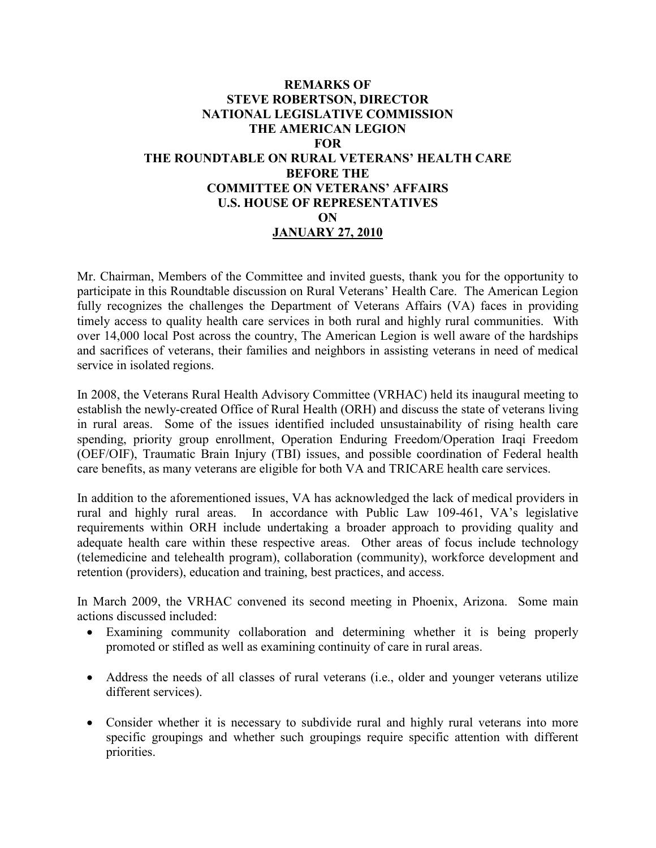## **REMARKS OF STEVE ROBERTSON, DIRECTOR NATIONAL LEGISLATIVE COMMISSION THE AMERICAN LEGION FOR THE ROUNDTABLE ON RURAL VETERANS' HEALTH CARE BEFORE THE COMMITTEE ON VETERANS' AFFAIRS U.S. HOUSE OF REPRESENTATIVES ON JANUARY 27, 2010**

Mr. Chairman, Members of the Committee and invited guests, thank you for the opportunity to participate in this Roundtable discussion on Rural Veterans' Health Care. The American Legion fully recognizes the challenges the Department of Veterans Affairs (VA) faces in providing timely access to quality health care services in both rural and highly rural communities. With over 14,000 local Post across the country, The American Legion is well aware of the hardships and sacrifices of veterans, their families and neighbors in assisting veterans in need of medical service in isolated regions.

In 2008, the Veterans Rural Health Advisory Committee (VRHAC) held its inaugural meeting to establish the newly-created Office of Rural Health (ORH) and discuss the state of veterans living in rural areas. Some of the issues identified included unsustainability of rising health care spending, priority group enrollment, Operation Enduring Freedom/Operation Iraqi Freedom (OEF/OIF), Traumatic Brain Injury (TBI) issues, and possible coordination of Federal health care benefits, as many veterans are eligible for both VA and TRICARE health care services.

In addition to the aforementioned issues, VA has acknowledged the lack of medical providers in rural and highly rural areas. In accordance with Public Law 109-461, VA's legislative requirements within ORH include undertaking a broader approach to providing quality and adequate health care within these respective areas. Other areas of focus include technology (telemedicine and telehealth program), collaboration (community), workforce development and retention (providers), education and training, best practices, and access.

In March 2009, the VRHAC convened its second meeting in Phoenix, Arizona. Some main actions discussed included:

- Examining community collaboration and determining whether it is being properly promoted or stifled as well as examining continuity of care in rural areas.
- Address the needs of all classes of rural veterans (i.e., older and younger veterans utilize different services).
- Consider whether it is necessary to subdivide rural and highly rural veterans into more specific groupings and whether such groupings require specific attention with different priorities.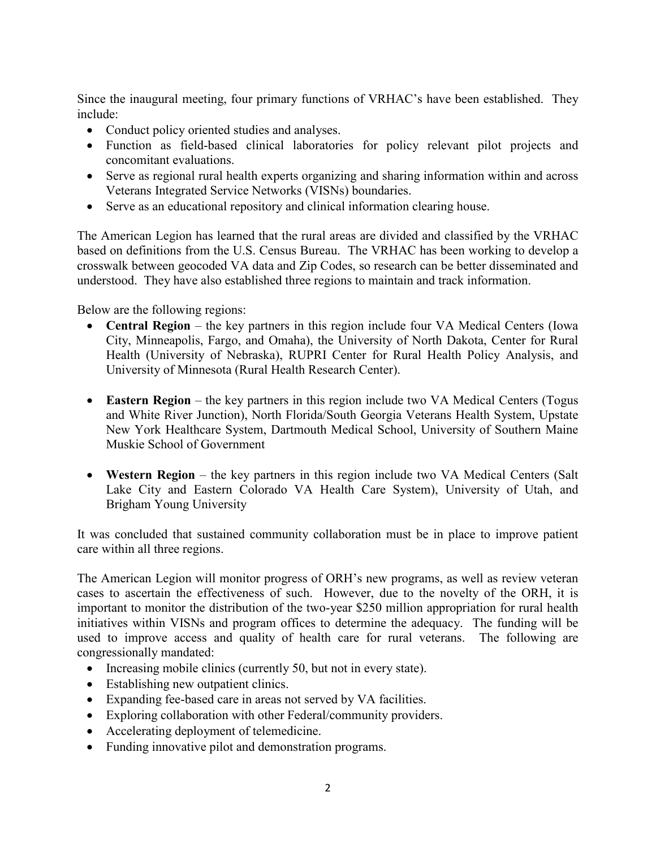Since the inaugural meeting, four primary functions of VRHAC's have been established. They include:

- Conduct policy oriented studies and analyses.
- Function as field-based clinical laboratories for policy relevant pilot projects and concomitant evaluations.
- Serve as regional rural health experts organizing and sharing information within and across Veterans Integrated Service Networks (VISNs) boundaries.
- Serve as an educational repository and clinical information clearing house.

The American Legion has learned that the rural areas are divided and classified by the VRHAC based on definitions from the U.S. Census Bureau. The VRHAC has been working to develop a crosswalk between geocoded VA data and Zip Codes, so research can be better disseminated and understood. They have also established three regions to maintain and track information.

Below are the following regions:

- **Central Region** the key partners in this region include four VA Medical Centers (Iowa City, Minneapolis, Fargo, and Omaha), the University of North Dakota, Center for Rural Health (University of Nebraska), RUPRI Center for Rural Health Policy Analysis, and University of Minnesota (Rural Health Research Center).
- **Eastern Region** the key partners in this region include two VA Medical Centers (Togus and White River Junction), North Florida/South Georgia Veterans Health System, Upstate New York Healthcare System, Dartmouth Medical School, University of Southern Maine Muskie School of Government
- **Western Region** the key partners in this region include two VA Medical Centers (Salt Lake City and Eastern Colorado VA Health Care System), University of Utah, and Brigham Young University

It was concluded that sustained community collaboration must be in place to improve patient care within all three regions.

The American Legion will monitor progress of ORH's new programs, as well as review veteran cases to ascertain the effectiveness of such. However, due to the novelty of the ORH, it is important to monitor the distribution of the two-year \$250 million appropriation for rural health initiatives within VISNs and program offices to determine the adequacy. The funding will be used to improve access and quality of health care for rural veterans. The following are congressionally mandated:

- Increasing mobile clinics (currently 50, but not in every state).
- Establishing new outpatient clinics.
- Expanding fee-based care in areas not served by VA facilities.
- Exploring collaboration with other Federal/community providers.
- Accelerating deployment of telemedicine.
- Funding innovative pilot and demonstration programs.